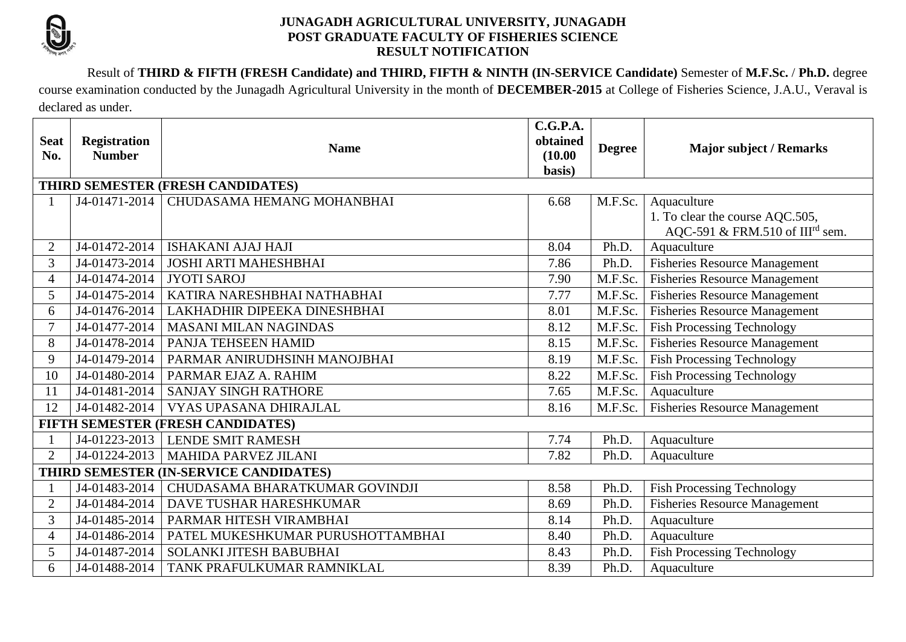

## **JUNAGADH AGRICULTURAL UNIVERSITY, JUNAGADH POST GRADUATE FACULTY OF FISHERIES SCIENCE RESULT NOTIFICATION**

Result of **THIRD & FIFTH (FRESH Candidate) and THIRD, FIFTH & NINTH (IN-SERVICE Candidate)** Semester of **M.F.Sc.** / **Ph.D.** degree

course examination conducted by the Junagadh Agricultural University in the month of **DECEMBER-2015** at College of Fisheries Science, J.A.U., Veraval is declared as under.

| <b>Seat</b><br>No.                     | <b>Registration</b><br><b>Number</b> | <b>Name</b>                       | C.G.P.A.<br>obtained<br>(10.00)<br>basis) | <b>Degree</b> | <b>Major subject / Remarks</b>              |  |  |  |
|----------------------------------------|--------------------------------------|-----------------------------------|-------------------------------------------|---------------|---------------------------------------------|--|--|--|
| THIRD SEMESTER (FRESH CANDIDATES)      |                                      |                                   |                                           |               |                                             |  |  |  |
|                                        | J4-01471-2014                        | CHUDASAMA HEMANG MOHANBHAI        | 6.68                                      | M.F.Sc.       | Aquaculture                                 |  |  |  |
|                                        |                                      |                                   |                                           |               | 1. To clear the course AQC.505,             |  |  |  |
|                                        |                                      |                                   |                                           |               | AQC-591 & FRM.510 of III <sup>rd</sup> sem. |  |  |  |
| 2                                      | J4-01472-2014                        | <b>ISHAKANI AJAJ HAJI</b>         | 8.04                                      | Ph.D.         | Aquaculture                                 |  |  |  |
| 3                                      | J4-01473-2014                        | <b>JOSHI ARTI MAHESHBHAI</b>      | 7.86                                      | Ph.D.         | <b>Fisheries Resource Management</b>        |  |  |  |
| 4                                      | J4-01474-2014                        | <b>JYOTI SAROJ</b>                | 7.90                                      | M.F.Sc.       | <b>Fisheries Resource Management</b>        |  |  |  |
| $\overline{5}$                         | J4-01475-2014                        | KATIRA NARESHBHAI NATHABHAI       | 7.77                                      | M.F.Sc.       | <b>Fisheries Resource Management</b>        |  |  |  |
| 6                                      | J4-01476-2014                        | LAKHADHIR DIPEEKA DINESHBHAI      | 8.01                                      | M.F.Sc.       | <b>Fisheries Resource Management</b>        |  |  |  |
| $\tau$                                 | J4-01477-2014                        | <b>MASANI MILAN NAGINDAS</b>      | 8.12                                      | M.F.Sc.       | <b>Fish Processing Technology</b>           |  |  |  |
| 8                                      | J4-01478-2014                        | PANJA TEHSEEN HAMID               | 8.15                                      | M.F.Sc.       | <b>Fisheries Resource Management</b>        |  |  |  |
| 9                                      | J4-01479-2014                        | PARMAR ANIRUDHSINH MANOJBHAI      | 8.19                                      | M.F.Sc.       | <b>Fish Processing Technology</b>           |  |  |  |
| 10                                     | J4-01480-2014                        | PARMAR EJAZ A. RAHIM              | 8.22                                      | M.F.Sc.       | <b>Fish Processing Technology</b>           |  |  |  |
| 11                                     | J4-01481-2014                        | <b>SANJAY SINGH RATHORE</b>       | 7.65                                      | M.F.Sc.       | Aquaculture                                 |  |  |  |
| 12                                     | J4-01482-2014                        | VYAS UPASANA DHIRAJLAL            | 8.16                                      | M.F.Sc.       | <b>Fisheries Resource Management</b>        |  |  |  |
| FIFTH SEMESTER (FRESH CANDIDATES)      |                                      |                                   |                                           |               |                                             |  |  |  |
|                                        | J4-01223-2013                        | <b>LENDE SMIT RAMESH</b>          | 7.74                                      | Ph.D.         | Aquaculture                                 |  |  |  |
| $\overline{2}$                         | J4-01224-2013                        | <b>MAHIDA PARVEZ JILANI</b>       | 7.82                                      | Ph.D.         | Aquaculture                                 |  |  |  |
| THIRD SEMESTER (IN-SERVICE CANDIDATES) |                                      |                                   |                                           |               |                                             |  |  |  |
|                                        | J4-01483-2014                        | CHUDASAMA BHARATKUMAR GOVINDJI    | 8.58                                      | Ph.D.         | <b>Fish Processing Technology</b>           |  |  |  |
| $\overline{2}$                         | J4-01484-2014                        | <b>DAVE TUSHAR HARESHKUMAR</b>    | 8.69                                      | Ph.D.         | <b>Fisheries Resource Management</b>        |  |  |  |
| 3                                      | J4-01485-2014                        | PARMAR HITESH VIRAMBHAI           | 8.14                                      | Ph.D.         | Aquaculture                                 |  |  |  |
| $\overline{4}$                         | J4-01486-2014                        | PATEL MUKESHKUMAR PURUSHOTTAMBHAI | 8.40                                      | Ph.D.         | Aquaculture                                 |  |  |  |
| 5                                      | J4-01487-2014                        | <b>SOLANKI JITESH BABUBHAI</b>    | 8.43                                      | Ph.D.         | <b>Fish Processing Technology</b>           |  |  |  |
| 6                                      | J4-01488-2014                        | TANK PRAFULKUMAR RAMNIKLAL        | 8.39                                      | Ph.D.         | Aquaculture                                 |  |  |  |